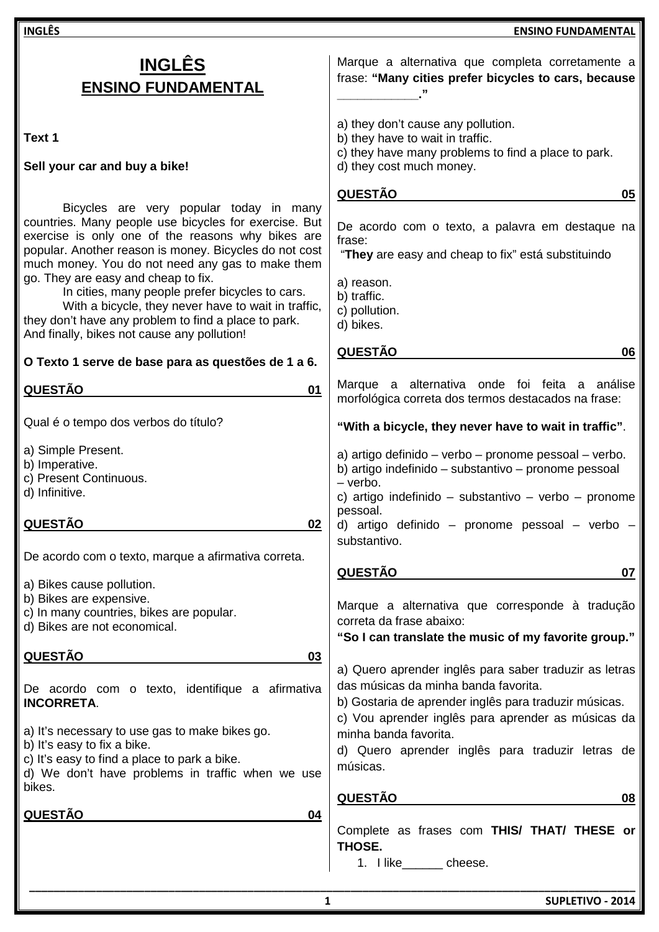**INGLÊS ENSINO FUNDAMENTAL Text 1 Sell your car and buy a bike!**  Bicycles are very popular today in many countries. Many people use bicycles for exercise. But exercise is only one of the reasons why bikes are popular. Another reason is money. Bicycles do not cost much money. You do not need any gas to make them go. They are easy and cheap to fix. In cities, many people prefer bicycles to cars. With a bicycle, they never have to wait in traffic, they don't have any problem to find a place to park. And finally, bikes not cause any pollution! **O Texto 1 serve de base para as questões de 1 a 6. QUESTÃO 01**  Qual é o tempo dos verbos do título? a) Simple Present. b) Imperative. c) Present Continuous. d) Infinitive. **QUESTÃO 02**  De acordo com o texto, marque a afirmativa correta. a) Bikes cause pollution. b) Bikes are expensive. c) In many countries, bikes are popular. d) Bikes are not economical. **QUESTÃO 03**  De acordo com o texto, identifique a afirmativa **INCORRETA**. a) It's necessary to use gas to make bikes go. b) It's easy to fix a bike. c) It's easy to find a place to park a bike. d) We don't have problems in traffic when we use bikes. **QUESTÃO 04**  Marque a alternativa que completa corretamente a frase: **"Many cities prefer bicycles to cars, because \_\_\_\_\_\_\_\_\_\_\_\_."** a) they don't cause any pollution. b) they have to wait in traffic. c) they have many problems to find a place to park. d) they cost much money. **QUESTÃO 05**  De acordo com o texto, a palavra em destaque na frase: "**They** are easy and cheap to fix" está substituindo a) reason. b) traffic. c) pollution. d) bikes. **QUESTÃO 06**  Marque a alternativa onde foi feita a análise morfológica correta dos termos destacados na frase: **"With a bicycle, they never have to wait in traffic"**. a) artigo definido – verbo – pronome pessoal – verbo. b) artigo indefinido – substantivo – pronome pessoal – verbo. c) artigo indefinido – substantivo – verbo – pronome pessoal. d) artigo definido – pronome pessoal – verbo – substantivo. **QUESTÃO 07**  Marque a alternativa que corresponde à tradução correta da frase abaixo: **"So I can translate the music of my favorite group."**  a) Quero aprender inglês para saber traduzir as letras das músicas da minha banda favorita. b) Gostaria de aprender inglês para traduzir músicas. c) Vou aprender inglês para aprender as músicas da minha banda favorita. d) Quero aprender inglês para traduzir letras de músicas. **QUESTÃO 08**  Complete as frases com **THIS/ THAT/ THESE or THOSE.** 

**INGLÊS ENSINO FUNDAMENTAL**

1. I like cheese.

**\_\_\_\_\_\_\_\_\_\_\_\_\_\_\_\_\_\_\_\_\_\_\_\_\_\_\_\_\_\_\_\_\_\_\_\_\_\_\_\_\_\_\_\_\_\_\_\_\_\_\_\_\_\_\_\_\_\_\_\_\_\_\_\_\_\_\_\_\_\_\_\_\_\_\_\_\_\_\_\_\_\_\_\_\_\_\_\_\_\_\_\_\_\_\_\_\_\_\_\_**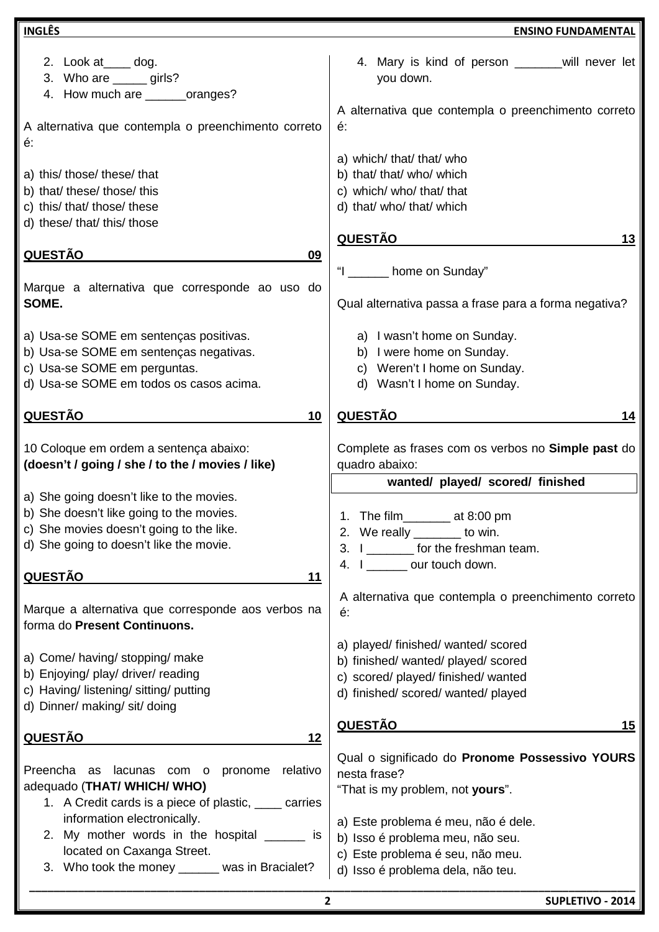| <b>INGLÊS</b>                                                                                                                   | <b>ENSINO FUNDAMENTAL</b>                                                                                                               |
|---------------------------------------------------------------------------------------------------------------------------------|-----------------------------------------------------------------------------------------------------------------------------------------|
| 2. Look at _____ dog.<br>3. Who are ______ girls?<br>4. How much are _______oranges?                                            | 4. Mary is kind of person _________ will never let<br>you down.                                                                         |
| A alternativa que contempla o preenchimento correto                                                                             | A alternativa que contempla o preenchimento correto                                                                                     |
| é:                                                                                                                              | é.                                                                                                                                      |
| a) this/ those/ these/ that                                                                                                     | a) which/ that/ that/ who                                                                                                               |
| b) that/ these/ those/ this                                                                                                     | b) that/ that/ who/ which                                                                                                               |
| c) this/ that/ those/ these                                                                                                     | c) which/ who/ that/ that                                                                                                               |
| d) these/ that/ this/ those                                                                                                     | d) that/ who/ that/ which                                                                                                               |
| <u>QUESTÃO</u>                                                                                                                  | <b>QUESTÃO</b>                                                                                                                          |
| 09                                                                                                                              | 13                                                                                                                                      |
| Marque a alternativa que corresponde ao uso do                                                                                  | "I ______ home on Sunday"                                                                                                               |
| SOME.                                                                                                                           | Qual alternativa passa a frase para a forma negativa?                                                                                   |
| a) Usa-se SOME em sentenças positivas.                                                                                          | a) I wasn't home on Sunday.                                                                                                             |
| b) Usa-se SOME em sentenças negativas.                                                                                          | b) I were home on Sunday.                                                                                                               |
| c) Usa-se SOME em perguntas.                                                                                                    | c) Weren't I home on Sunday.                                                                                                            |
| d) Usa-se SOME em todos os casos acima.                                                                                         | d) Wasn't I home on Sunday.                                                                                                             |
| <b>QUESTÃO</b>                                                                                                                  | <u>QUESTÃO</u>                                                                                                                          |
| 10                                                                                                                              | 14                                                                                                                                      |
| 10 Coloque em ordem a sentença abaixo:                                                                                          | Complete as frases com os verbos no Simple past do                                                                                      |
| (doesn't / going / she / to the / movies / like)                                                                                | quadro abaixo:                                                                                                                          |
| a) She going doesn't like to the movies.                                                                                        | wanted/ played/ scored/ finished                                                                                                        |
| b) She doesn't like going to the movies.<br>c) She movies doesn't going to the like.<br>d) She going to doesn't like the movie. | 1. The film________ at 8:00 pm<br>2. We really _______ to win.<br>3. I ________ for the freshman team.<br>4. I ________ our touch down. |
| <u>QUESTÃO</u><br>11                                                                                                            |                                                                                                                                         |
| Marque a alternativa que corresponde aos verbos na                                                                              | A alternativa que contempla o preenchimento correto                                                                                     |
| forma do Present Continuons.                                                                                                    | é:                                                                                                                                      |
| a) Come/ having/ stopping/ make                                                                                                 | a) played/ finished/ wanted/ scored                                                                                                     |
| b) Enjoying/ play/ driver/ reading                                                                                              | b) finished/ wanted/ played/ scored                                                                                                     |
| c) Having/ listening/ sitting/ putting                                                                                          | c) scored/ played/ finished/ wanted                                                                                                     |
| d) Dinner/ making/ sit/ doing                                                                                                   | d) finished/ scored/ wanted/ played                                                                                                     |
| <b>QUESTÃO</b>                                                                                                                  | <b>QUESTÃO</b>                                                                                                                          |
| 12                                                                                                                              | 15                                                                                                                                      |
| Preencha as lacunas com o pronome relativo                                                                                      | Qual o significado do Pronome Possessivo YOURS                                                                                          |
| adequado (THAT/ WHICH/ WHO)                                                                                                     | nesta frase?                                                                                                                            |
| 1. A Credit cards is a piece of plastic, <u>__</u> __ carries                                                                   | "That is my problem, not yours".                                                                                                        |
| information electronically.                                                                                                     | a) Este problema é meu, não é dele.                                                                                                     |
| 2. My mother words in the hospital _______ is                                                                                   | b) Isso é problema meu, não seu.                                                                                                        |
| located on Caxanga Street.                                                                                                      | c) Este problema é seu, não meu.                                                                                                        |
| 3. Who took the money ______ was in Bracialet?                                                                                  | d) Isso é problema dela, não teu.                                                                                                       |
| $\mathbf{2}$<br>SUPLETIVO - 2014                                                                                                |                                                                                                                                         |